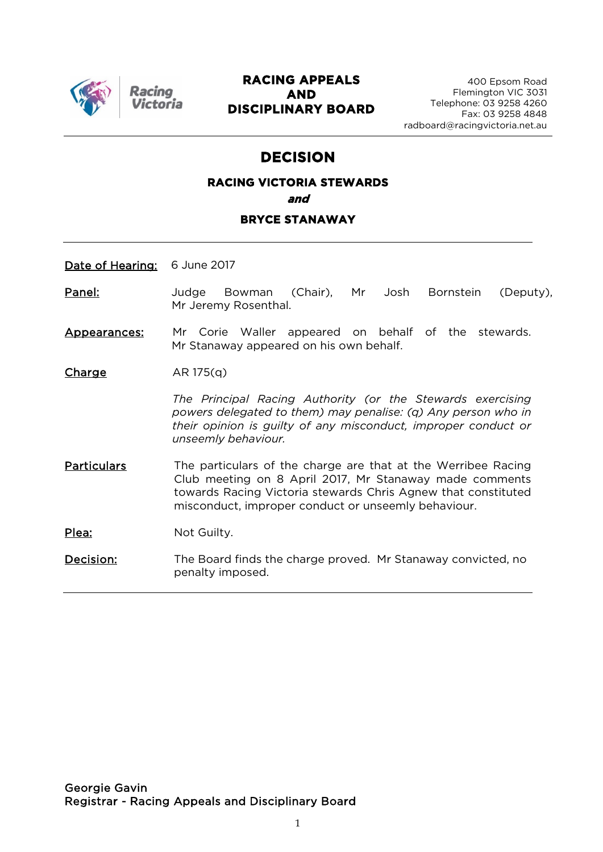

Racino

#### **RACING APPEALS AND DISCIPLINARY BOARD**

## **DECISION**

# **RACING VICTORIA STEWARDS and**

#### **BRYCE STANAWAY**

Date of Hearing: 6 June 2017

- Panel: Judge Bowman (Chair), Mr Josh Bornstein (Deputy), Mr Jeremy Rosenthal.
- Appearances: Mr Corie Waller appeared on behalf of the stewards. Mr Stanaway appeared on his own behalf.

 $Change$   $AR 175(q)$ 

*The Principal Racing Authority (or the Stewards exercising powers delegated to them) may penalise: (q) Any person who in their opinion is guilty of any misconduct, improper conduct or unseemly behaviour.*

Particulars The particulars of the charge are that at the Werribee Racing Club meeting on 8 April 2017, Mr Stanaway made comments towards Racing Victoria stewards Chris Agnew that constituted misconduct, improper conduct or unseemly behaviour.

Plea: Not Guilty.

Decision: The Board finds the charge proved. Mr Stanaway convicted, no penalty imposed.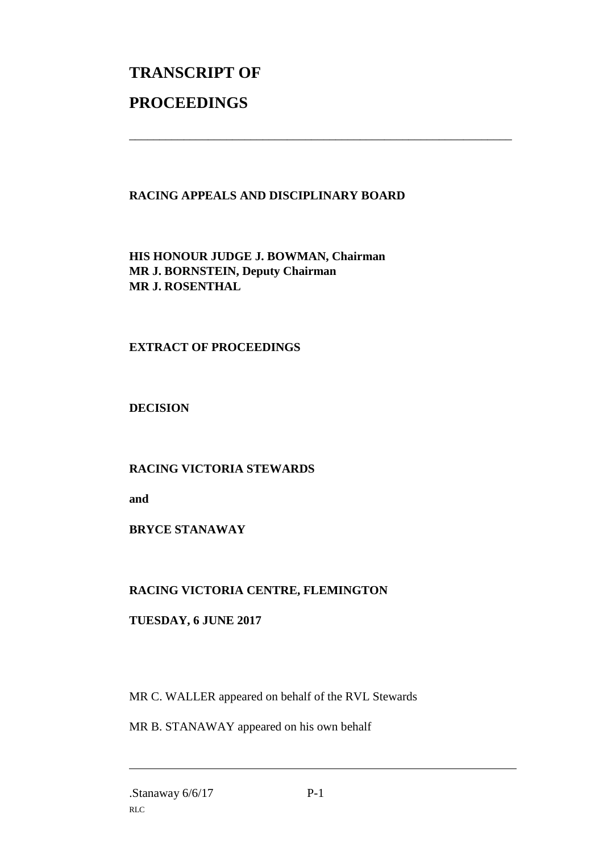# **TRANSCRIPT OF PROCEEDINGS**

#### **RACING APPEALS AND DISCIPLINARY BOARD**

\_\_\_\_\_\_\_\_\_\_\_\_\_\_\_\_\_\_\_\_\_\_\_\_\_\_\_\_\_\_\_\_\_\_\_\_\_\_\_\_\_\_\_\_\_\_\_\_\_\_\_\_\_\_\_\_\_\_\_\_\_\_\_

**HIS HONOUR JUDGE J. BOWMAN, Chairman MR J. BORNSTEIN, Deputy Chairman MR J. ROSENTHAL**

#### **EXTRACT OF PROCEEDINGS**

**DECISION**

#### **RACING VICTORIA STEWARDS**

**and** 

#### **BRYCE STANAWAY**

### **RACING VICTORIA CENTRE, FLEMINGTON**

#### **TUESDAY, 6 JUNE 2017**

MR C. WALLER appeared on behalf of the RVL Stewards

MR B. STANAWAY appeared on his own behalf